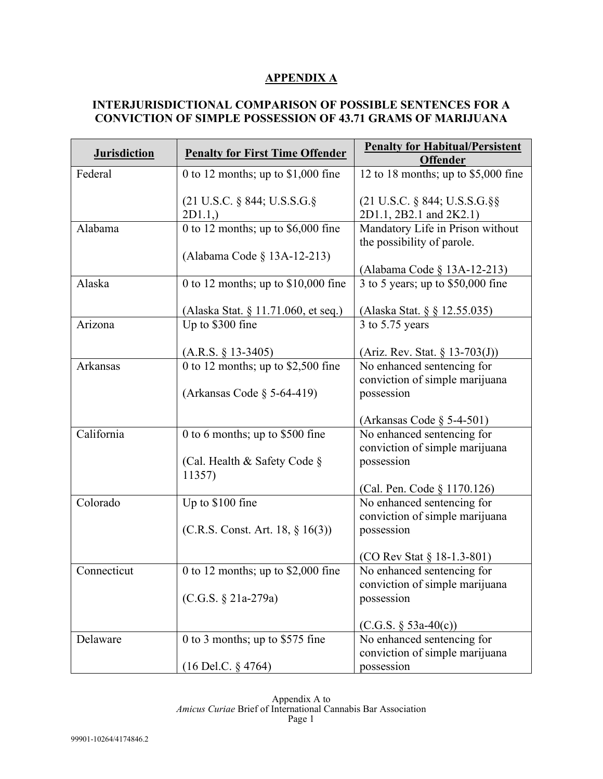## **APPENDIX A**

## **INTERJURISDICTIONAL COMPARISON OF POSSIBLE SENTENCES FOR A CONVICTION OF SIMPLE POSSESSION OF 43.71 GRAMS OF MARIJUANA**

| <b>Jurisdiction</b> | <b>Penalty for First Time Offender</b> | <b>Penalty for Habitual/Persistent</b>                                   |
|---------------------|----------------------------------------|--------------------------------------------------------------------------|
|                     |                                        | <b>Offender</b>                                                          |
| Federal             | 0 to 12 months; up to $$1,000$ fine    | 12 to 18 months; up to $$5,000$ fine                                     |
|                     | (21 U.S.C. § 844; U.S.S.G.§<br>2D1.1,  | $(21 \text{ U.S.C. } § 844; \text{U.S.S.G.}§$<br>2D1.1, 2B2.1 and 2K2.1) |
| Alabama             | 0 to 12 months; up to \$6,000 fine     | Mandatory Life in Prison without<br>the possibility of parole.           |
|                     | (Alabama Code § 13A-12-213)            | (Alabama Code § 13A-12-213)                                              |
| Alaska              | 0 to 12 months; up to $$10,000$ fine   | 3 to 5 years; up to $$50,000$ fine                                       |
|                     | (Alaska Stat. § 11.71.060, et seq.)    | (Alaska Stat. § § 12.55.035)                                             |
| Arizona             | Up to \$300 fine                       | $3$ to 5.75 years                                                        |
|                     | $(A.R.S. § 13-3405)$                   | (Ariz. Rev. Stat. $\S$ 13-703(J))                                        |
| Arkansas            | 0 to 12 months; up to $$2,500$ fine    | No enhanced sentencing for<br>conviction of simple marijuana             |
|                     | (Arkansas Code $\S$ 5-64-419)          | possession                                                               |
|                     |                                        | (Arkansas Code $\S$ 5-4-501)                                             |
| California          | 0 to 6 months; up to \$500 fine        | No enhanced sentencing for<br>conviction of simple marijuana             |
|                     | (Cal. Health & Safety Code §<br>11357) | possession                                                               |
|                     |                                        | (Cal. Pen. Code § 1170.126)                                              |
| Colorado            | Up to \$100 fine                       | No enhanced sentencing for                                               |
|                     |                                        | conviction of simple marijuana                                           |
|                     | (C.R.S. Const. Art. 18, § 16(3))       | possession                                                               |
|                     |                                        | (CO Rev Stat § 18-1.3-801)                                               |
| Connecticut         | 0 to 12 months; up to $$2,000$ fine    | No enhanced sentencing for                                               |
|                     |                                        | conviction of simple marijuana                                           |
|                     | (C.G.S. § 21a-279a)                    | possession                                                               |
|                     |                                        | $(C.G.S. § 53a-40(c))$                                                   |
| Delaware            | 0 to 3 months; up to \$575 fine        | No enhanced sentencing for                                               |
|                     |                                        | conviction of simple marijuana                                           |
|                     | $(16$ Del.C. § 4764)                   | possession                                                               |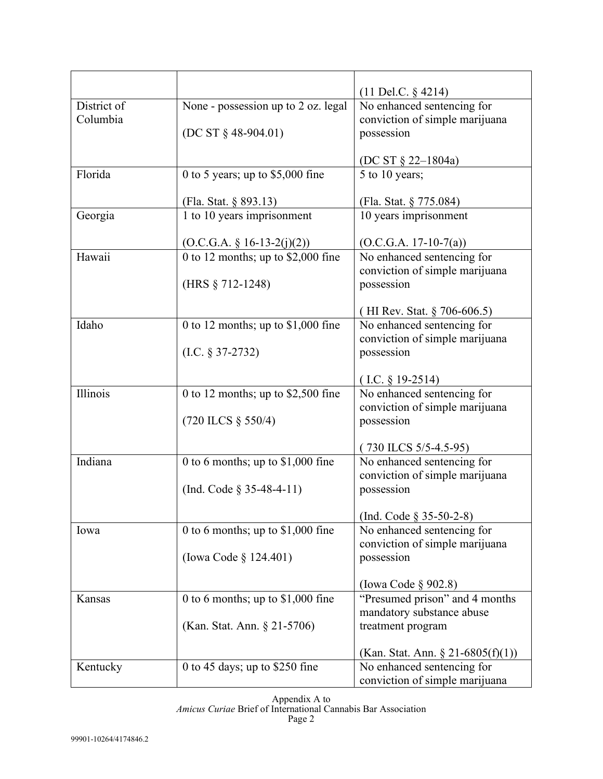|             |                                                     | $(11$ Del.C. § 4214)                            |
|-------------|-----------------------------------------------------|-------------------------------------------------|
| District of | None - possession up to 2 oz. legal                 | No enhanced sentencing for                      |
| Columbia    |                                                     | conviction of simple marijuana                  |
|             | $(DC ST § 48-904.01)$                               | possession                                      |
|             |                                                     |                                                 |
|             |                                                     | (DC ST $\S$ 22–1804a)                           |
| Florida     | 0 to 5 years; up to $$5,000$ fine                   | 5 to 10 years;                                  |
|             |                                                     |                                                 |
| Georgia     | (Fla. Stat. § 893.13)<br>1 to 10 years imprisonment | (Fla. Stat. § 775.084)<br>10 years imprisonment |
|             |                                                     |                                                 |
|             | $(O.C.G.A. § 16-13-2(j)(2))$                        | $(O.C.G.A. 17-10-7(a))$                         |
| Hawaii      | 0 to 12 months; up to $$2,000$ fine                 | No enhanced sentencing for                      |
|             |                                                     | conviction of simple marijuana                  |
|             | (HRS § 712-1248)                                    | possession                                      |
|             |                                                     |                                                 |
|             |                                                     | (HI Rev. Stat. $\S$ 706-606.5)                  |
| Idaho       | 0 to 12 months; up to $$1,000$ fine                 | No enhanced sentencing for                      |
|             |                                                     | conviction of simple marijuana                  |
|             | $(LC. § 37-2732)$                                   | possession                                      |
|             |                                                     | $(LC. § 19-2514)$                               |
| Illinois    | 0 to 12 months; up to $$2,500$ fine                 | No enhanced sentencing for                      |
|             |                                                     | conviction of simple marijuana                  |
|             | $(720$ ILCS § 550/4)                                | possession                                      |
|             |                                                     |                                                 |
|             |                                                     | $(730$ ILCS $5/5-4.5-95)$                       |
| Indiana     | 0 to 6 months; up to $$1,000$ fine                  | No enhanced sentencing for                      |
|             |                                                     | conviction of simple marijuana                  |
|             | (Ind. Code $\S 35-48-4-11$ )                        | possession                                      |
|             |                                                     | (Ind. Code § 35-50-2-8)                         |
| Iowa        | 0 to 6 months; up to \$1,000 fine                   | No enhanced sentencing for                      |
|             |                                                     | conviction of simple marijuana                  |
|             | (Iowa Code § 124.401)                               | possession                                      |
|             |                                                     |                                                 |
|             |                                                     | (Iowa Code $\S 902.8$ )                         |
| Kansas      | 0 to 6 months; up to \$1,000 fine                   | "Presumed prison" and 4 months                  |
|             |                                                     | mandatory substance abuse                       |
|             | (Kan. Stat. Ann. § 21-5706)                         | treatment program                               |
|             |                                                     | (Kan. Stat. Ann. $\S 21-6805(f)(1)$ )           |
| Kentucky    | 0 to 45 days; up to $$250$ fine                     | No enhanced sentencing for                      |
|             |                                                     | conviction of simple marijuana                  |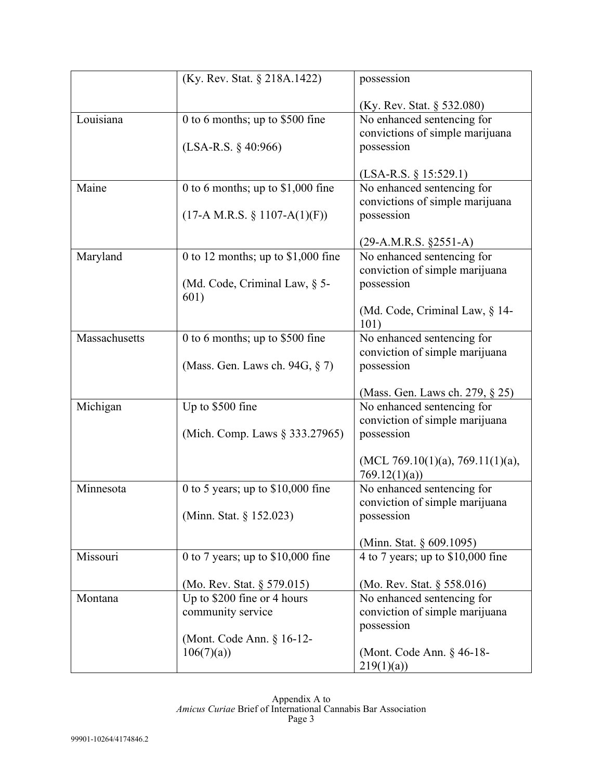|               | (Ky. Rev. Stat. § 218A.1422)          | possession                         |
|---------------|---------------------------------------|------------------------------------|
|               |                                       | (Ky. Rev. Stat. § 532.080)         |
| Louisiana     | 0 to 6 months; up to $$500$ fine      | No enhanced sentencing for         |
|               |                                       | convictions of simple marijuana    |
|               | $(LSA-R.S. § 40:966)$                 | possession                         |
|               |                                       |                                    |
|               |                                       | $(LSA-R.S. \S 15:529.1)$           |
| Maine         | 0 to 6 months; up to $$1,000$ fine    | No enhanced sentencing for         |
|               |                                       | convictions of simple marijuana    |
|               | $(17-A M.R.S. § 1107-A(1)(F))$        | possession                         |
|               |                                       |                                    |
|               |                                       | $(29-A.M.R.S. §2551-A)$            |
| Maryland      | 0 to 12 months; up to $$1,000$ fine   | No enhanced sentencing for         |
|               |                                       | conviction of simple marijuana     |
|               | (Md. Code, Criminal Law, § 5-<br>601) | possession                         |
|               |                                       | (Md. Code, Criminal Law, § 14-     |
|               |                                       | 101)                               |
| Massachusetts | 0 to 6 months; up to \$500 fine       | No enhanced sentencing for         |
|               |                                       | conviction of simple marijuana     |
|               | (Mass. Gen. Laws ch. 94G, § 7)        | possession                         |
|               |                                       |                                    |
|               |                                       | (Mass. Gen. Laws ch. 279, § 25)    |
| Michigan      | Up to \$500 fine                      | No enhanced sentencing for         |
|               |                                       | conviction of simple marijuana     |
|               | (Mich. Comp. Laws § 333.27965)        | possession                         |
|               |                                       |                                    |
|               |                                       | (MCL 769.10(1)(a), 769.11(1)(a),   |
| Minnesota     | 0 to 5 years; up to $$10,000$ fine    | 769.12(1)(a)                       |
|               |                                       | No enhanced sentencing for         |
|               |                                       | conviction of simple marijuana     |
|               | (Minn. Stat. § 152.023)               | possession                         |
|               |                                       | (Minn. Stat. $\S 609.1095$ )       |
| Missouri      | 0 to 7 years; up to $$10,000$ fine    | 4 to 7 years; up to $$10,000$ fine |
|               |                                       |                                    |
|               | (Mo. Rev. Stat. § 579.015)            | (Mo. Rev. Stat. § 558.016)         |
| Montana       | Up to \$200 fine or 4 hours           | No enhanced sentencing for         |
|               | community service                     | conviction of simple marijuana     |
|               |                                       | possession                         |
|               | (Mont. Code Ann. § 16-12-             |                                    |
|               | 106(7)(a)                             | (Mont. Code Ann. § 46-18-          |
|               |                                       | 219(1)(a)                          |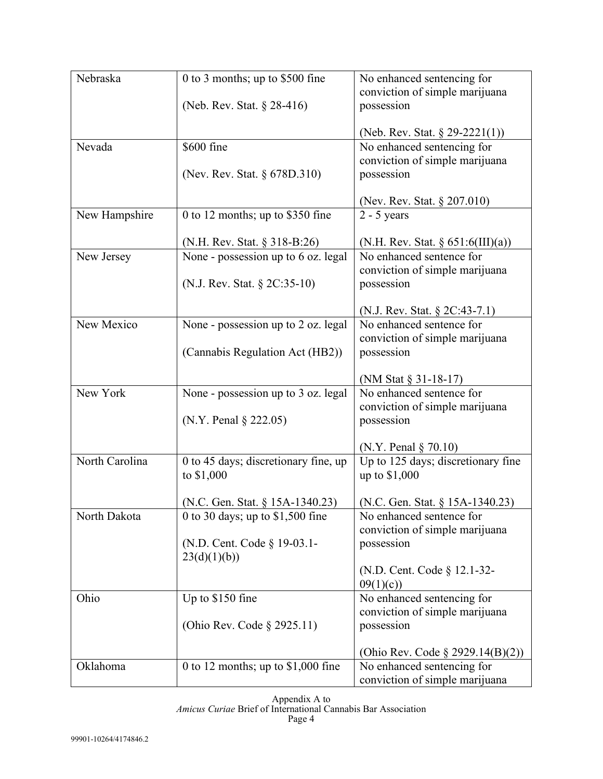| Nebraska       | 0 to 3 months; up to \$500 fine      | No enhanced sentencing for                   |
|----------------|--------------------------------------|----------------------------------------------|
|                |                                      | conviction of simple marijuana               |
|                | (Neb. Rev. Stat. § 28-416)           | possession                                   |
|                |                                      |                                              |
|                |                                      | (Neb. Rev. Stat. $\S 29-2221(1)$ )           |
| Nevada         | \$600 fine                           | No enhanced sentencing for                   |
|                |                                      | conviction of simple marijuana               |
|                | (Nev. Rev. Stat. § 678D.310)         | possession                                   |
|                |                                      | (Nev. Rev. Stat. § 207.010)                  |
| New Hampshire  | 0 to 12 months; up to $$350$ fine    | $2 - 5$ years                                |
|                |                                      |                                              |
|                | (N.H. Rev. Stat. § 318-B:26)         | (N.H. Rev. Stat. $\S 651:6(III)(a)$ )        |
| New Jersey     | None - possession up to 6 oz. legal  | No enhanced sentence for                     |
|                |                                      | conviction of simple marijuana               |
|                | (N.J. Rev. Stat. § 2C:35-10)         | possession                                   |
|                |                                      |                                              |
|                |                                      | (N.J. Rev. Stat. $\S 2C:43-7.1)$             |
| New Mexico     | None - possession up to 2 oz. legal  | No enhanced sentence for                     |
|                | (Cannabis Regulation Act (HB2))      | conviction of simple marijuana<br>possession |
|                |                                      |                                              |
|                |                                      | (NM Stat § 31-18-17)                         |
| New York       | None - possession up to 3 oz. legal  | No enhanced sentence for                     |
|                |                                      | conviction of simple marijuana               |
|                | (N.Y. Penal § 222.05)                | possession                                   |
|                |                                      |                                              |
|                |                                      | $(N.Y.$ Penal $\S 70.10)$                    |
| North Carolina | 0 to 45 days; discretionary fine, up | Up to 125 days; discretionary fine           |
|                | to \$1,000                           | up to \$1,000                                |
|                | (N.C. Gen. Stat. § 15A-1340.23)      | (N.C. Gen. Stat. § 15A-1340.23)              |
| North Dakota   | 0 to 30 days; up to \$1,500 fine     | No enhanced sentence for                     |
|                |                                      | conviction of simple marijuana               |
|                | (N.D. Cent. Code § 19-03.1-          | possession                                   |
|                | 23(d)(1)(b))                         |                                              |
|                |                                      | (N.D. Cent. Code § 12.1-32-                  |
|                |                                      | 09(1)(c)                                     |
| Ohio           | Up to \$150 fine                     | No enhanced sentencing for                   |
|                |                                      | conviction of simple marijuana               |
|                | (Ohio Rev. Code § 2925.11)           | possession                                   |
|                |                                      | (Ohio Rev. Code $\S 2929.14(B)(2)$ )         |
| Oklahoma       | 0 to 12 months; up to $$1,000$ fine  | No enhanced sentencing for                   |
|                |                                      | conviction of simple marijuana               |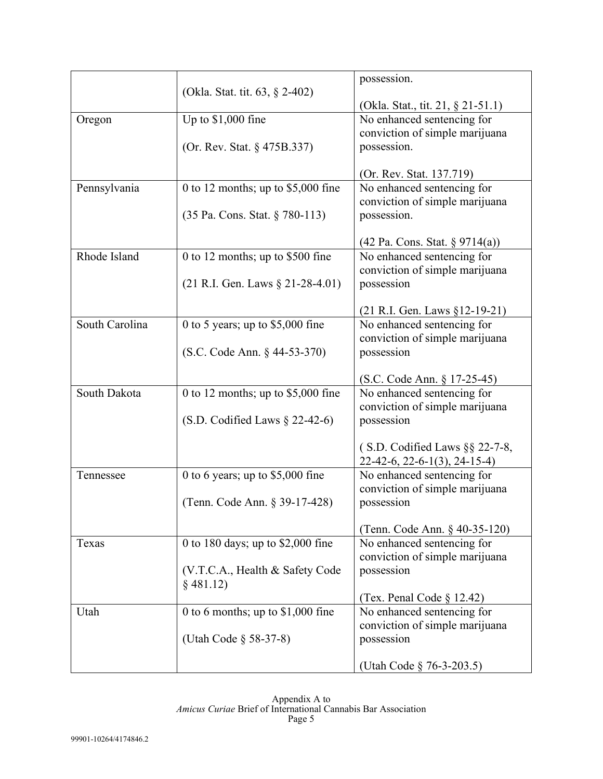|                |                                     | possession.                                                  |
|----------------|-------------------------------------|--------------------------------------------------------------|
|                | (Okla. Stat. tit. 63, § 2-402)      |                                                              |
|                |                                     | (Okla. Stat., tit. 21, § 21-51.1)                            |
| Oregon         | Up to $$1,000$ fine                 | No enhanced sentencing for                                   |
|                |                                     | conviction of simple marijuana                               |
|                | (Or. Rev. Stat. § 475B.337)         | possession.                                                  |
|                |                                     |                                                              |
|                |                                     | (Or. Rev. Stat. 137.719)                                     |
| Pennsylvania   | 0 to 12 months; up to $$5,000$ fine | No enhanced sentencing for                                   |
|                |                                     | conviction of simple marijuana                               |
|                | (35 Pa. Cons. Stat. § 780-113)      | possession.                                                  |
|                |                                     | (42 Pa. Cons. Stat. § 9714(a))                               |
| Rhode Island   | 0 to 12 months; up to $$500$ fine   | No enhanced sentencing for                                   |
|                |                                     | conviction of simple marijuana                               |
|                | $(21$ R.I. Gen. Laws § 21-28-4.01)  | possession                                                   |
|                |                                     |                                                              |
|                |                                     | (21 R.I. Gen. Laws §12-19-21)                                |
| South Carolina | 0 to 5 years; up to $$5,000$ fine   | No enhanced sentencing for                                   |
|                |                                     | conviction of simple marijuana                               |
|                | (S.C. Code Ann. § 44-53-370)        | possession                                                   |
|                |                                     |                                                              |
|                |                                     | (S.C. Code Ann. § 17-25-45)                                  |
| South Dakota   | 0 to 12 months; up to $$5,000$ fine | No enhanced sentencing for                                   |
|                |                                     | conviction of simple marijuana                               |
|                | $(S.D.$ Codified Laws $\S$ 22-42-6) | possession                                                   |
|                |                                     | (S.D. Codified Laws $\S$ § 22-7-8,                           |
|                |                                     | $22-42-6$ , $22-6-1(3)$ , $24-15-4$ )                        |
| Tennessee      | 0 to 6 years; up to $$5,000$ fine   | No enhanced sentencing for                                   |
|                |                                     | conviction of simple marijuana                               |
|                | (Tenn. Code Ann. § 39-17-428)       | possession                                                   |
|                |                                     |                                                              |
|                |                                     | (Tenn. Code Ann. § 40-35-120)                                |
| Texas          | 0 to 180 days; up to $$2,000$ fine  | No enhanced sentencing for                                   |
|                |                                     | conviction of simple marijuana                               |
|                | (V.T.C.A., Health & Safety Code     | possession                                                   |
|                | $§$ 481.12)                         |                                                              |
|                |                                     | (Tex. Penal Code $\S$ 12.42)                                 |
| Utah           | 0 to 6 months; up to $$1,000$ fine  | No enhanced sentencing for<br>conviction of simple marijuana |
|                | (Utah Code § 58-37-8)               | possession                                                   |
|                |                                     |                                                              |
|                |                                     | (Utah Code § 76-3-203.5)                                     |